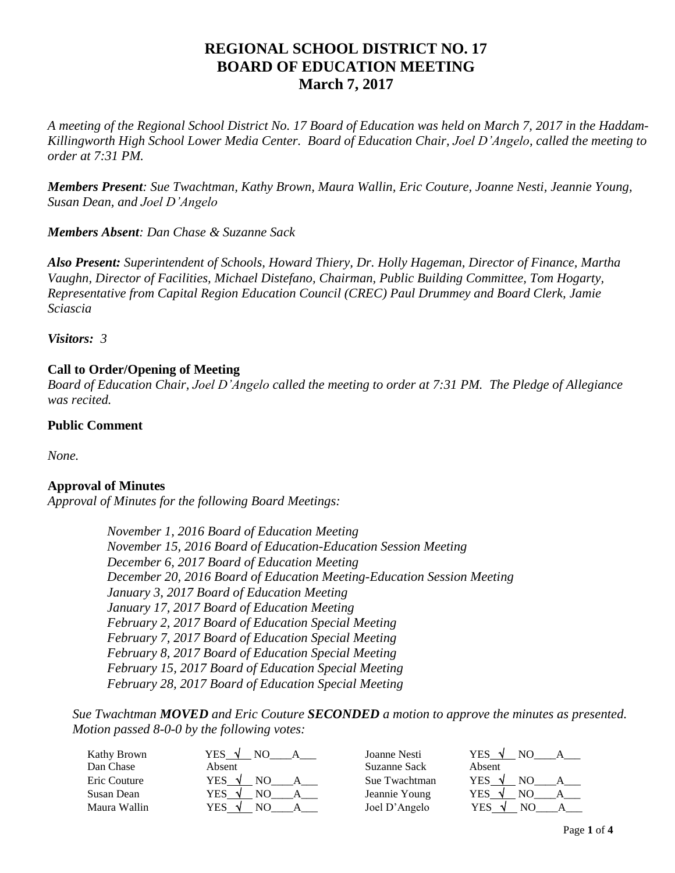# **REGIONAL SCHOOL DISTRICT NO. 17 BOARD OF EDUCATION MEETING March 7, 2017**

*A meeting of the Regional School District No. 17 Board of Education was held on March 7, 2017 in the Haddam-Killingworth High School Lower Media Center. Board of Education Chair, Joel D'Angelo, called the meeting to order at 7:31 PM.*

*Members Present: Sue Twachtman, Kathy Brown, Maura Wallin, Eric Couture, Joanne Nesti, Jeannie Young, Susan Dean, and Joel D'Angelo*

*Members Absent: Dan Chase & Suzanne Sack*

*Also Present: Superintendent of Schools, Howard Thiery, Dr. Holly Hageman, Director of Finance, Martha Vaughn, Director of Facilities, Michael Distefano, Chairman, Public Building Committee, Tom Hogarty, Representative from Capital Region Education Council (CREC) Paul Drummey and Board Clerk, Jamie Sciascia*

*Visitors: 3*

# **Call to Order/Opening of Meeting**

*Board of Education Chair, Joel D'Angelo called the meeting to order at 7:31 PM. The Pledge of Allegiance was recited.*

## **Public Comment**

*None.*

# **Approval of Minutes**

*Approval of Minutes for the following Board Meetings:*

*November 1, 2016 Board of Education Meeting November 15, 2016 Board of Education-Education Session Meeting December 6, 2017 Board of Education Meeting December 20, 2016 Board of Education Meeting-Education Session Meeting January 3, 2017 Board of Education Meeting January 17, 2017 Board of Education Meeting February 2, 2017 Board of Education Special Meeting February 7, 2017 Board of Education Special Meeting February 8, 2017 Board of Education Special Meeting February 15, 2017 Board of Education Special Meeting February 28, 2017 Board of Education Special Meeting*

*Sue Twachtman MOVED and Eric Couture SECONDED a motion to approve the minutes as presented. Motion passed 8-0-0 by the following votes:*

| Kathy Brown  | YES.<br>$\sim$ | Joanne Nesti  | YES.       |
|--------------|----------------|---------------|------------|
| Dan Chase    | Absent         | Suzanne Sack  | Absent     |
| Eric Couture | YES<br>่ง      | Sue Twachtman | <b>YES</b> |
| Susan Dean   | YES            | Jeannie Young | YES        |
| Maura Wallin | YES            | Joel D'Angelo | YES        |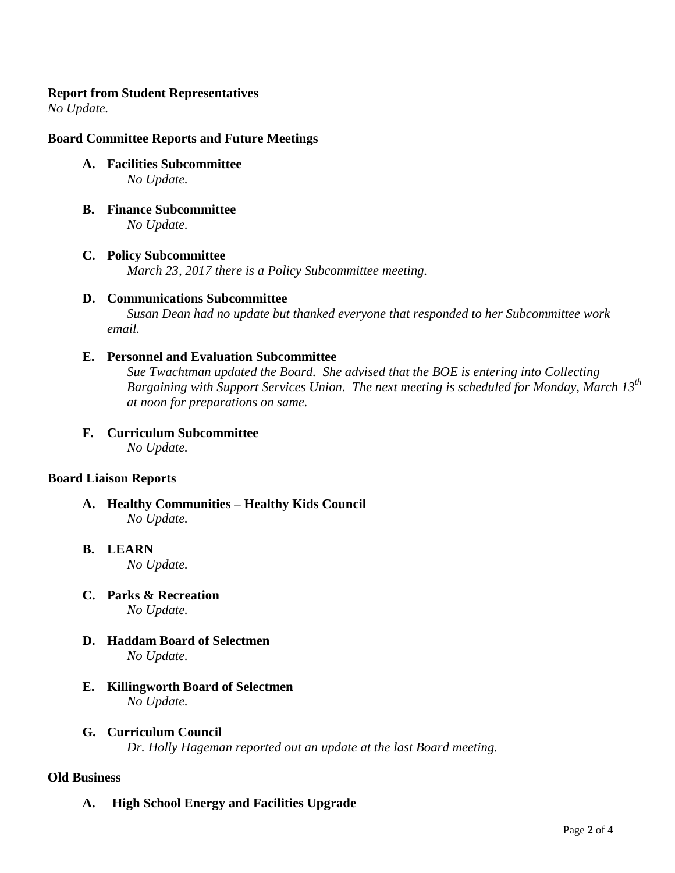## **Report from Student Representatives**

*No Update.*

# **Board Committee Reports and Future Meetings**

- **A. Facilities Subcommittee**  *No Update.*
- **B. Finance Subcommittee** *No Update.*
- **C. Policy Subcommittee** *March 23, 2017 there is a Policy Subcommittee meeting.*

# **D. Communications Subcommittee**

*Susan Dean had no update but thanked everyone that responded to her Subcommittee work email.*

## **E. Personnel and Evaluation Subcommittee**

*Sue Twachtman updated the Board. She advised that the BOE is entering into Collecting Bargaining with Support Services Union. The next meeting is scheduled for Monday, March 13th at noon for preparations on same.*

**F. Curriculum Subcommittee** *No Update.*

## **Board Liaison Reports**

- **A. Healthy Communities – Healthy Kids Council** *No Update.*
- **B. LEARN**  *No Update.*
- **C. Parks & Recreation** *No Update.*
- **D. Haddam Board of Selectmen** *No Update.*
- **E. Killingworth Board of Selectmen** *No Update.*
- **G. Curriculum Council**

*Dr. Holly Hageman reported out an update at the last Board meeting.*

#### **Old Business**

**A. High School Energy and Facilities Upgrade**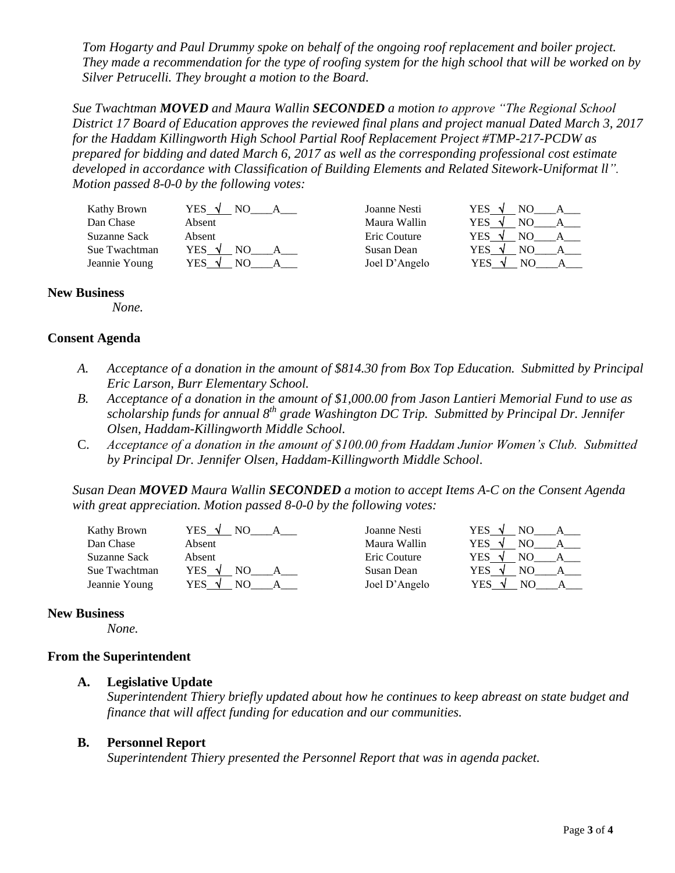*Tom Hogarty and Paul Drummy spoke on behalf of the ongoing roof replacement and boiler project. They made a recommendation for the type of roofing system for the high school that will be worked on by Silver Petrucelli. They brought a motion to the Board.*

*Sue Twachtman MOVED and Maura Wallin SECONDED a motion to approve "The Regional School District 17 Board of Education approves the reviewed final plans and project manual Dated March 3, 2017 for the Haddam Killingworth High School Partial Roof Replacement Project #TMP-217-PCDW as prepared for bidding and dated March 6, 2017 as well as the corresponding professional cost estimate developed in accordance with Classification of Building Elements and Related Sitework-Uniformat ll". Motion passed 8-0-0 by the following votes:*

| Kathy Brown   | YES V               | Joanne Nesti  | YES V                |
|---------------|---------------------|---------------|----------------------|
| Dan Chase     | Absent              | Maura Wallin  | YES.<br>N            |
| Suzanne Sack  | Absent              | Eric Couture  | YES.                 |
| Sue Twachtman | YES √               | Susan Dean    | YES<br>NΟ            |
| Jeannie Young | YES<br>NΩ<br>$\sim$ | Joel D'Angelo | YES<br>$\mathcal{N}$ |

#### **New Business**

*None.*

#### **Consent Agenda**

- *A. Acceptance of a donation in the amount of \$814.30 from Box Top Education. Submitted by Principal Eric Larson, Burr Elementary School.*
- *B. Acceptance of a donation in the amount of \$1,000.00 from Jason Lantieri Memorial Fund to use as scholarship funds for annual 8th grade Washington DC Trip. Submitted by Principal Dr. Jennifer Olsen, Haddam-Killingworth Middle School.*
- C. *Acceptance of a donation in the amount of \$100.00 from Haddam Junior Women's Club. Submitted by Principal Dr. Jennifer Olsen, Haddam-Killingworth Middle School*.

*Susan Dean MOVED Maura Wallin SECONDED a motion to accept Items A-C on the Consent Agenda with great appreciation. Motion passed 8-0-0 by the following votes:*

Kathy Brown  $YES \quad \sqrt{NO}$  A Joanne Nesti YI Dan Chase Absent Absent Maura Wallin YES Now Maura Wallin Suzanne Sack Absent Absent Eric Couture YI Sue Twachtman  $YES \tN$  NO A B Susan Dean YES

Jeannie Young YES  $\sqrt{N}$  NO A\_\_\_ A\_\_\_ Joel D'Angelo Y

| ES        | NO             | д |
|-----------|----------------|---|
| ES        | NO             | А |
| ES        | NO             | А |
| ES        | NO             | А |
| <b>ES</b> | N <sub>O</sub> |   |

## **New Business**

*None.*

#### **From the Superintendent**

**A. Legislative Update**

*Superintendent Thiery briefly updated about how he continues to keep abreast on state budget and finance that will affect funding for education and our communities.*

#### **B. Personnel Report**

*Superintendent Thiery presented the Personnel Report that was in agenda packet.*